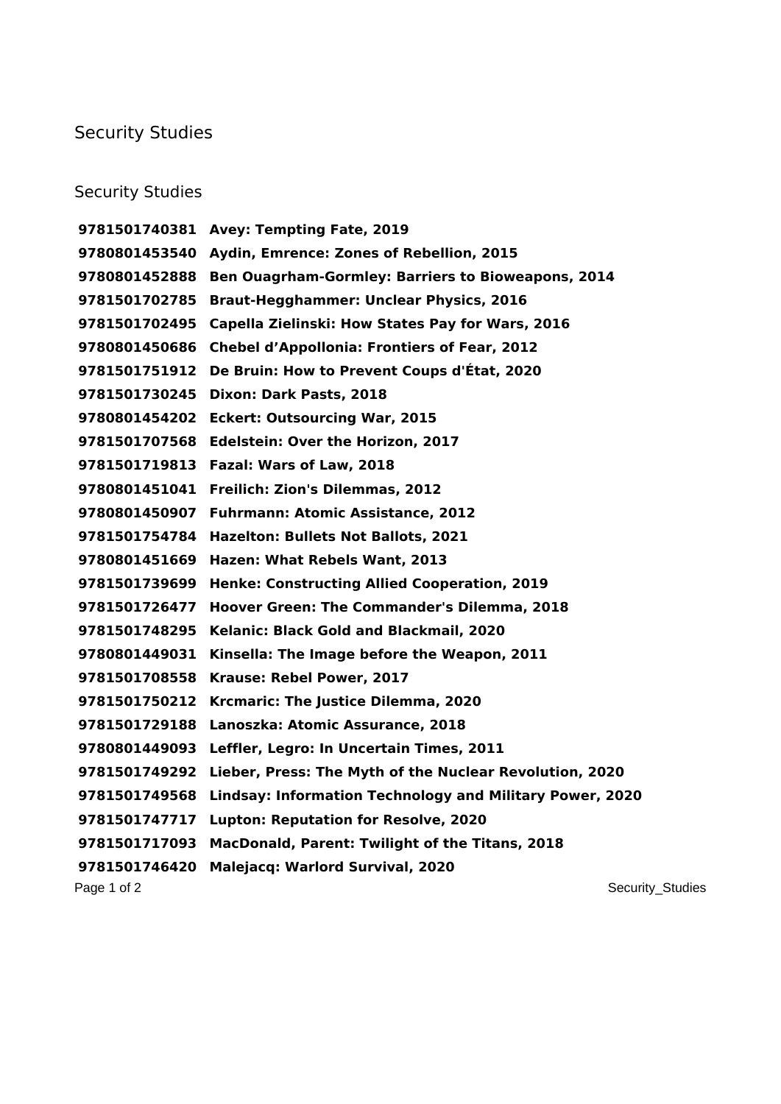## Security Studies

## Security Studies

Page 1 of 2 Security\_Studies **Avey: Tempting Fate, 2019 Aydin, Emrence: Zones of Rebellion, 2015 Ben Ouagrham-Gormley: Barriers to Bioweapons, 2014 Braut-Hegghammer: Unclear Physics, 2016 Capella Zielinski: How States Pay for Wars, 2016 Chebel d'Appollonia: Frontiers of Fear, 2012 De Bruin: How to Prevent Coups d'État, 2020 Dixon: Dark Pasts, 2018 Eckert: Outsourcing War, 2015 Edelstein: Over the Horizon, 2017 Fazal: Wars of Law, 2018 Freilich: Zion's Dilemmas, 2012 Fuhrmann: Atomic Assistance, 2012 Hazelton: Bullets Not Ballots, 2021 Hazen: What Rebels Want, 2013 Henke: Constructing Allied Cooperation, 2019 Hoover Green: The Commander's Dilemma, 2018 Kelanic: Black Gold and Blackmail, 2020 Kinsella: The Image before the Weapon, 2011 Krause: Rebel Power, 2017 Krcmaric: The Justice Dilemma, 2020 Lanoszka: Atomic Assurance, 2018 Leffler, Legro: In Uncertain Times, 2011 Lieber, Press: The Myth of the Nuclear Revolution, 2020 Lindsay: Information Technology and Military Power, 2020 Lupton: Reputation for Resolve, 2020 MacDonald, Parent: Twilight of the Titans, 2018 Malejacq: Warlord Survival, 2020**